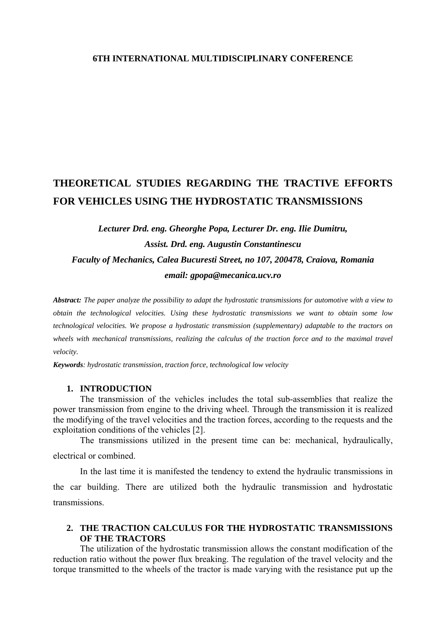## **6TH INTERNATIONAL MULTIDISCIPLINARY CONFERENCE**

# **THEORETICAL STUDIES REGARDING THE TRACTIVE EFFORTS FOR VEHICLES USING THE HYDROSTATIC TRANSMISSIONS**

## *Lecturer Drd. eng. Gheorghe Popa, Lecturer Dr. eng. Ilie Dumitru, Assist. Drd. eng. Augustin Constantinescu Faculty of Mechanics, Calea Bucuresti Street, no 107, 200478, Craiova, Romania email: gpopa@mecanica.ucv.ro*

*Abstract: The paper analyze the possibility to adapt the hydrostatic transmissions for automotive with a view to obtain the technological velocities. Using these hydrostatic transmissions we want to obtain some low technological velocities. We propose a hydrostatic transmission (supplementary) adaptable to the tractors on*  wheels with mechanical transmissions, realizing the calculus of the traction force and to the maximal travel *velocity.* 

*Keywords: hydrostatic transmission, traction force, technological low velocity* 

#### **1. INTRODUCTION**

The transmission of the vehicles includes the total sub-assemblies that realize the power transmission from engine to the driving wheel. Through the transmission it is realized the modifying of the travel velocities and the traction forces, according to the requests and the exploitation conditions of the vehicles [2].

The transmissions utilized in the present time can be: mechanical, hydraulically, electrical or combined.

In the last time it is manifested the tendency to extend the hydraulic transmissions in the car building. There are utilized both the hydraulic transmission and hydrostatic transmissions.

## **2. THE TRACTION CALCULUS FOR THE HYDROSTATIC TRANSMISSIONS OF THE TRACTORS**

The utilization of the hydrostatic transmission allows the constant modification of the reduction ratio without the power flux breaking. The regulation of the travel velocity and the torque transmitted to the wheels of the tractor is made varying with the resistance put up the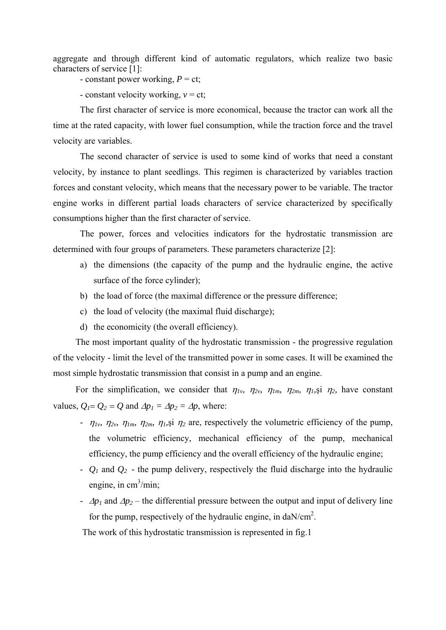aggregate and through different kind of automatic regulators, which realize two basic characters of service [1]:

- constant power working,  $P = ct$ ;

- constant velocity working,  $v = ct$ ;

 The first character of service is more economical, because the tractor can work all the time at the rated capacity, with lower fuel consumption, while the traction force and the travel velocity are variables.

 The second character of service is used to some kind of works that need a constant velocity, by instance to plant seedlings. This regimen is characterized by variables traction forces and constant velocity, which means that the necessary power to be variable. The tractor engine works in different partial loads characters of service characterized by specifically consumptions higher than the first character of service.

 The power, forces and velocities indicators for the hydrostatic transmission are determined with four groups of parameters. These parameters characterize [2]:

- a) the dimensions (the capacity of the pump and the hydraulic engine, the active surface of the force cylinder);
- b) the load of force (the maximal difference or the pressure difference;
- c) the load of velocity (the maximal fluid discharge);
- d) the economicity (the overall efficiency).

The most important quality of the hydrostatic transmission - the progressive regulation of the velocity - limit the level of the transmitted power in some cases. It will be examined the most simple hydrostatic transmission that consist in a pump and an engine.

For the simplification, we consider that  $\eta_1$ ,  $\eta_2$ ,  $\eta_1$ ,  $\eta_2$ ,  $\eta_1$ ,  $\eta_2$ ,  $\eta_2$ , have constant values,  $Q_1 = Q_2 = Q$  and  $\Delta p_1 = \Delta p_2 = \Delta p$ , where:

- $\eta_{1v}$ ,  $\eta_{2v}$ ,  $\eta_{1m}$ ,  $\eta_{2m}$ ,  $\eta_{1}$ ,  $\eta_{2}$  are, respectively the volumetric efficiency of the pump, the volumetric efficiency, mechanical efficiency of the pump, mechanical efficiency, the pump efficiency and the overall efficiency of the hydraulic engine;
- *Q1* and *Q2 -* the pump delivery, respectively the fluid discharge into the hydraulic engine, in  $\text{cm}^3/\text{min}$ ;
- $\Delta p_1$  and  $\Delta p_2$  the differential pressure between the output and input of delivery line for the pump, respectively of the hydraulic engine, in  $\text{d}a\text{N/cm}^2$ .

The work of this hydrostatic transmission is represented in fig.1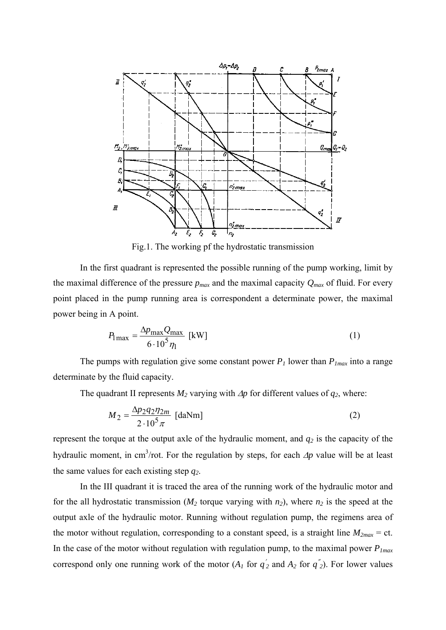

Fig.1. The working pf the hydrostatic transmission

In the first quadrant is represented the possible running of the pump working, limit by the maximal difference of the pressure  $p_{max}$  and the maximal capacity  $Q_{max}$  of fluid. For every point placed in the pump running area is correspondent a determinate power, the maximal power being in A point.

$$
P_{1\max} = \frac{\Delta p_{\max} Q_{\max}}{6 \cdot 10^5 \eta_1} \text{ [kW]} \tag{1}
$$

The pumps with regulation give some constant power  $P_l$  lower than  $P_{lmax}$  into a range determinate by the fluid capacity.

The quadrant II represents  $M_2$  varying with  $\Delta p$  for different values of  $q_2$ , where:

$$
M_2 = \frac{\Delta p_2 q_2 \eta_{2m}}{2 \cdot 10^5 \pi} \text{ [daNm]}
$$
 (2)

represent the torque at the output axle of the hydraulic moment, and  $q_2$  is the capacity of the hydraulic moment, in cm<sup>3</sup>/rot. For the regulation by steps, for each  $\Delta p$  value will be at least the same values for each existing step *q2*.

 In the III quadrant it is traced the area of the running work of the hydraulic motor and for the all hydrostatic transmission ( $M_2$  torque varying with  $n_2$ ), where  $n_2$  is the speed at the output axle of the hydraulic motor. Running without regulation pump, the regimens area of the motor without regulation, corresponding to a constant speed, is a straight line  $M_{2max} = ct$ . In the case of the motor without regulation with regulation pump, to the maximal power  $P_{1max}$ correspond only one running work of the motor  $(A_1 \text{ for } q_2 \text{'} \text{ and } A_2 \text{ for } q_2 \text{'})$ . For lower values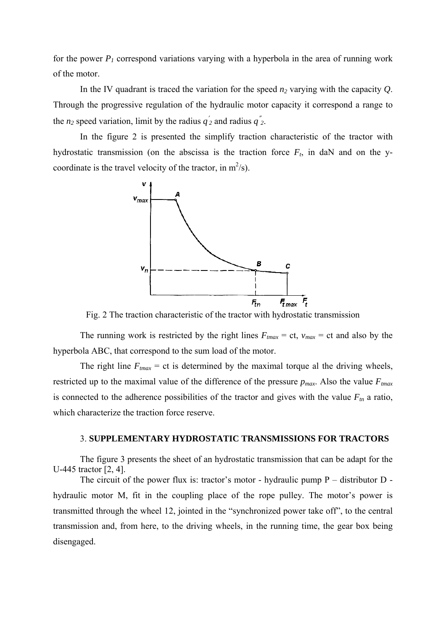for the power  $P_1$  correspond variations varying with a hyperbola in the area of running work of the motor.

In the IV quadrant is traced the variation for the speed  $n_2$  varying with the capacity  $Q$ . Through the progressive regulation of the hydraulic motor capacity it correspond a range to the  $n_2$  speed variation, limit by the radius  $q_2$  and radius  $q_2$ .

 In the figure 2 is presented the simplify traction characteristic of the tractor with hydrostatic transmission (on the abscissa is the traction force  $F_t$ , in daN and on the ycoordinate is the travel velocity of the tractor, in  $m^2/s$ ).



Fig. 2 The traction characteristic of the tractor with hydrostatic transmission

The running work is restricted by the right lines  $F_{tmax} = ct$ ,  $v_{max} = ct$  and also by the hyperbola ABC, that correspond to the sum load of the motor.

The right line  $F_{tmax}$  = ct is determined by the maximal torque al the driving wheels, restricted up to the maximal value of the difference of the pressure  $p_{max}$ . Also the value  $F_{max}$ is connected to the adherence possibilities of the tractor and gives with the value  $F_m$  a ratio, which characterize the traction force reserve.

## 3. **SUPPLEMENTARY HYDROSTATIC TRANSMISSIONS FOR TRACTORS**

The figure 3 presents the sheet of an hydrostatic transmission that can be adapt for the U-445 tractor [2, 4].

The circuit of the power flux is: tractor's motor - hydraulic pump  $P -$  distributor  $D$ hydraulic motor M, fit in the coupling place of the rope pulley. The motor's power is transmitted through the wheel 12, jointed in the "synchronized power take off", to the central transmission and, from here, to the driving wheels, in the running time, the gear box being disengaged.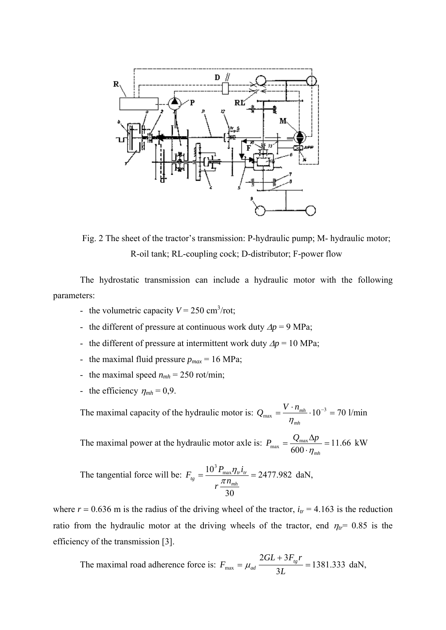

Fig. 2 The sheet of the tractor's transmission: P-hydraulic pump; M- hydraulic motor; R-oil tank; RL-coupling cock; D-distributor; F-power flow

The hydrostatic transmission can include a hydraulic motor with the following parameters:

- the volumetric capacity  $V = 250 \text{ cm}^3/\text{rot}$ ;
- the different of pressure at continuous work duty  $\Delta p = 9$  MPa;
- the different of pressure at intermittent work duty  $\Delta p = 10 \text{ MPa}$ ;
- the maximal fluid pressure  $p_{max}$  = 16 MPa;
- the maximal speed  $n_{mh} = 250$  rot/min;
- the efficiency  $\eta_{mh} = 0.9$ .

The maximal capacity of the hydraulic motor is:  $Q_{\text{max}} = \frac{V \cdot n_{\text{min}}}{V} \cdot 10^{-3} = 70$ *mh*  $Q_{\text{max}} = \frac{V \cdot n_{\text{mh}}}{V}$ η l/min

The maximal power at the hydraulic motor axle is:  $P_{\text{max}} = \frac{Q_{\text{max}} - Q}{600} = 11.66$ 600  $P_{\text{max}} = \frac{Q_{\text{max}} \Delta p}{600 \cdot \eta_{\text{min}}}$ *mh*  $P_{\text{max}} = \frac{Q_{\text{max}} \Delta p}{\epsilon_0 \epsilon_0}$ η kW

The tangential force will be: 
$$
F_{tg} = \frac{10^3 P_{\text{max}} \eta_{tr} i_{tr}}{r \frac{\pi n_{mh}}{30}} = 2477.982 \text{ daN},
$$

where  $r = 0.636$  m is the radius of the driving wheel of the tractor,  $i_{tr} = 4.163$  is the reduction ratio from the hydraulic motor at the driving wheels of the tractor, end  $\eta_{tr}$  = 0.85 is the efficiency of the transmission [3].

The maximal road adherence force is:  $F_{\text{max}} = \mu_{ad} \frac{2.333 \text{ m/s}}{2.5 \text{ m/s}} = 1381.333$ 3  $F_{\text{max}} = \mu_{ad} \frac{2GL + 3F_{tg}r}{3L} = 1381.333 \text{ daN},$